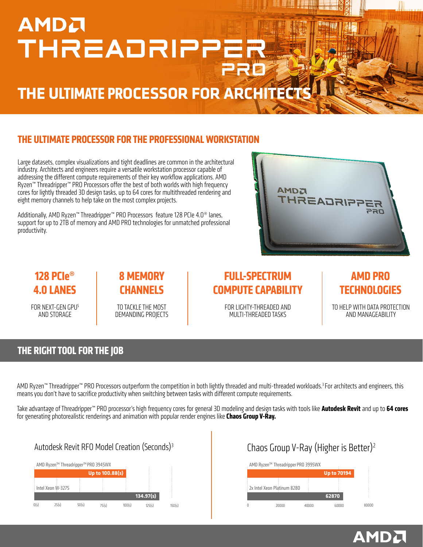# **AMDA** THREADRIPPER

## **THE ULTIMATE PROCESSOR FOR ARCHITECTS**

#### **THE ULTIMATE PROCESSOR FOR THE PROFESSIONAL WORKSTATION**

Large datasets, complex visualizations and tight deadlines are common in the architectural industry. Architects and engineers require a versatile workstation processor capable of addressing the different compute requirements of their key workflow applications. AMD Ryzen™ Threadripper™ PRO Processors offer the best of both worlds with high frequency cores for lightly threaded 3D design tasks, up to 64 cores for multithreaded rendering and eight memory channels to help take on the most complex projects.

Additionally, AMD Ryzen™ Threadripper™ PRO Processors feature 128 PCIe 4.0® lanes, support for up to 2TB of memory and AMD PRO technologies for unmatched professional productivity.



### **128 PCIe® 4.0 LANES**

FOR NEXT-GEN GPUS AND STORAGE

#### **8 MEMORY CHANNELS**

TO TACKLE THE MOST DEMANDING PROJECTS

#### **FULL-SPECTRUM COMPUTE CAPABILITY**

FOR LIGHTY-THREADED AND MULTI-THREADED TASKS

#### **AMD PRO TECHNOLOGIES**

TO HELP WITH DATA PROTECTION AND MANAGEABILITY

**AMDA** 

#### **THE RIGHT TOOL FOR THE JOB**

AMD Ryzen™ Threadripper™ PRO Processors outperform the competition in both lightly threaded and multi-threaded workloads.<sup>3</sup> For architects and engineers, this means you don't have to sacrifice productivity when switching between tasks with different compute requirements.

Take advantage of Threadripper™ PRO processor's high frequency cores for general 3D modeling and design tasks with tools like **Autodesk Revit** and up to **64 cores** for generating photorealistic renderings and animation with popular render engines like **Chaos Group V-Ray.**

#### Autodesk Revit RFO Model Creation (Seconds)<sup>3</sup> Chaos Group V-Ray (Higher is Better)<sup>2</sup>